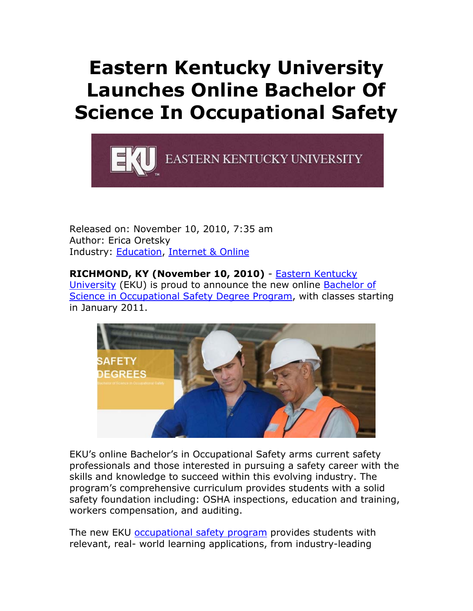## **Eastern Kentucky University Launches Online Bachelor Of Science In Occupational Safety**



Released on: November 10, 2010, 7:35 am Author: Erica Oretsky Industry: Education, Internet & Online

**RICHMOND, KY (November 10, 2010)** - Eastern Kentucky University (EKU) is proud to announce the new online Bachelor of Science in Occupational Safety Degree Program, with classes starting in January 2011.



EKU's online Bachelor's in Occupational Safety arms current safety professionals and those interested in pursuing a safety career with the skills and knowledge to succeed within this evolving industry. The program's comprehensive curriculum provides students with a solid safety foundation including: OSHA inspections, education and training, workers compensation, and auditing.

The new EKU occupational safety program provides students with relevant, real- world learning applications, from industry-leading